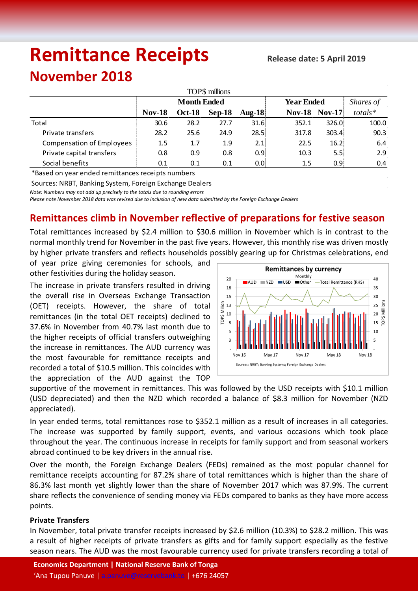# **Remittance Receipts**

## **November 2018**

| TOP\$ millions                   |                    |               |          |                   |                   |                  |           |  |  |  |  |  |
|----------------------------------|--------------------|---------------|----------|-------------------|-------------------|------------------|-----------|--|--|--|--|--|
|                                  | <b>Month Ended</b> |               |          |                   | <b>Year Ended</b> | Shares of        |           |  |  |  |  |  |
|                                  | <b>Nov-18</b>      | <b>Oct-18</b> | $Sep-18$ | $A$ ug-18         | <b>Nov-18</b>     | <b>Nov-17</b>    | $totals*$ |  |  |  |  |  |
| Total                            | 30.6               | 28.2          | 27.7     | 31.6 <sup>1</sup> | 352.1             | 326.0            | 100.0     |  |  |  |  |  |
| Private transfers                | 28.2               | 25.6          | 24.9     | 28.5              | 317.8             | 303.4            | 90.3      |  |  |  |  |  |
| <b>Compensation of Employees</b> | $1.5\,$            | 1.7           | 1.9      | 2.1               | 22.5              | 16.2             | 6.4       |  |  |  |  |  |
| Private capital transfers        | 0.8                | 0.9           | 0.8      | 0.9 <sub>i</sub>  | 10.3              | 5.5 <sub>1</sub> | 2.9       |  |  |  |  |  |
| Social benefits                  | 0.1                | 0.1           | 0.1      | $0.0^{1}$         | 1.5               | 0.95             | 0.4       |  |  |  |  |  |

\*Based on year ended remittances receipts numbers

Sources: NRBT, Banking System, Foreign Exchange Dealers

*Note: Numbers may not add up precisely to the totals due to rounding errors*

*Please note November 2018 data was revised due to inclusion of new data submitted by the Foreign Exchange Dealers* 

### **Remittances climb in November reflective of preparations for festive season**

Total remittances increased by \$2.4 million to \$30.6 million in November which is in contrast to the normal monthly trend for November in the past five years. However, this monthly rise was driven mostly by higher private transfers and reflects households possibly gearing up for Christmas celebrations, end

of year prize giving ceremonies for schools, and other festivities during the holiday season.

The increase in private transfers resulted in driving the overall rise in Overseas Exchange Transaction (OET) receipts. However, the share of total remittances (in the total OET receipts) declined to 37.6% in November from 40.7% last month due to the higher receipts of official transfers outweighing the increase in remittances. The AUD currency was the most favourable for remittance receipts and recorded a total of \$10.5 million. This coincides with the appreciation of the AUD against the TOP



supportive of the movement in remittances. This was followed by the USD receipts with \$10.1 million (USD depreciated) and then the NZD which recorded a balance of \$8.3 million for November (NZD appreciated).

In year ended terms, total remittances rose to \$352.1 million as a result of increases in all categories. The increase was supported by family support, events, and various occasions which took place throughout the year. The continuous increase in receipts for family support and from seasonal workers abroad continued to be key drivers in the annual rise.

Over the month, the Foreign Exchange Dealers (FEDs) remained as the most popular channel for remittance receipts accounting for 87.2% share of total remittances which is higher than the share of 86.3% last month yet slightly lower than the share of November 2017 which was 87.9%. The current share reflects the convenience of sending money via FEDs compared to banks as they have more access points.

#### **Private Transfers**

In November, total private transfer receipts increased by \$2.6 million (10.3%) to \$28.2 million. This was a result of higher receipts of private transfers as gifts and for family support especially as the festive season nears. The AUD was the most favourable currency used for private transfers recording a total of